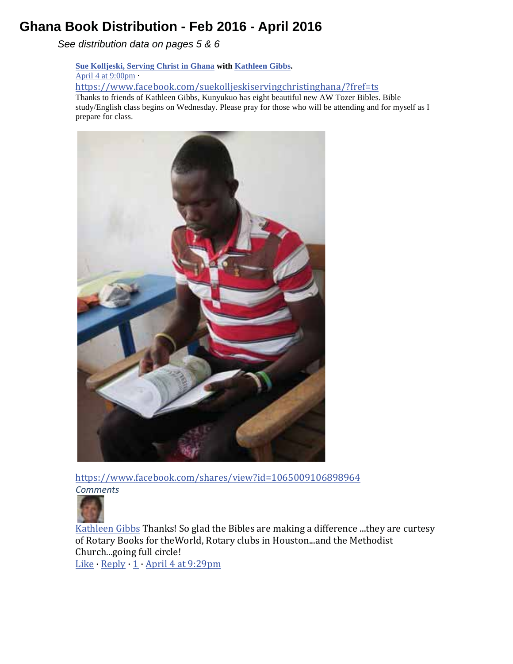## **Ghana Book Distribution - Feb 2016 - April 2016**

*See distribution data on pages 5 & 6*

**Sue Kolljeski, Serving Christ in Ghana with Kathleen Gibbs.**  April 4 at  $9:00 \text{pm}$ . https://www.facebook.com/suekolljeskiservingchristinghana/?fref=ts Thanks to friends of Kathleen Gibbs, Kunyukuo has eight beautiful new AW Tozer Bibles. Bible

study/English class begins on Wednesday. Please pray for those who will be attending and for myself as I prepare for class.



https://www.facebook.com/shares/view?id=1065009106898964 *-*



Kathleen Gibbs Thanks! So glad the Bibles are making a difference ...they are curtesy of Rotary Books for theWorld, Rotary clubs in Houston...and the Methodist Church...going full circle! Like · Reply · 1 · April 4 at 9:29pm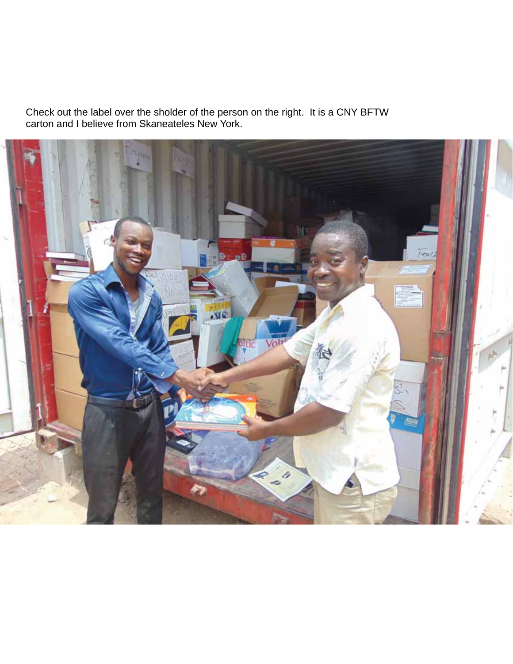Check out the label over the sholder of the person on the right. It is a CNY BFTW carton and I believe from Skaneateles New York.

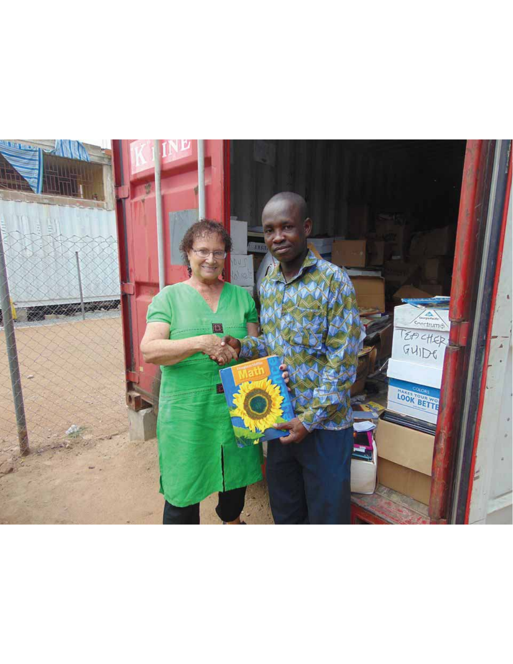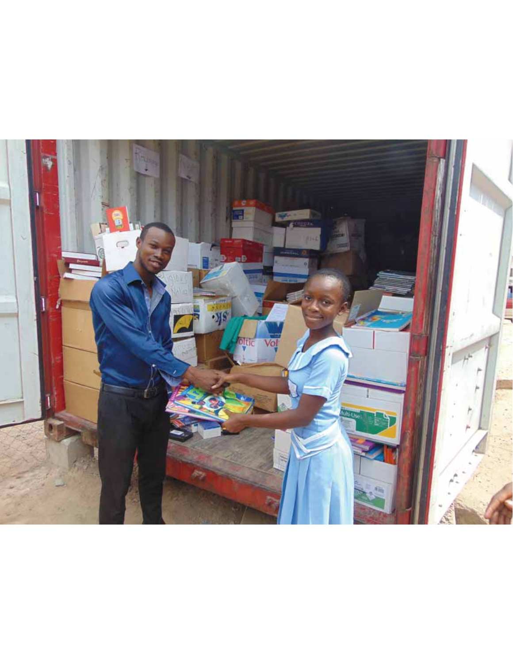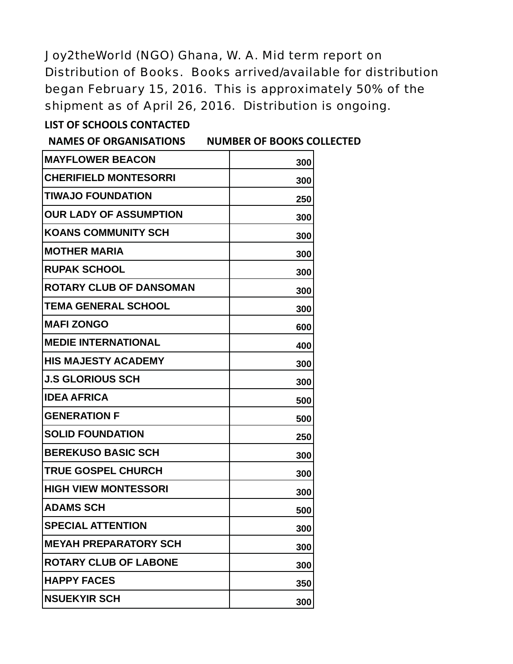Joy2theWorld (NGO) Ghana, W. A. Mid term report on Distribution of Books. Books arrived/available for distribution began February 15, 2016. This is approximately 50% of the shipment as of April 26, 2016. Distribution is ongoing.

**LIST OF SCHOOLS CONTACTED** 

**NAMES OF ORGANISATI NUMBER OF BOOKS COLLECTED** 

| <b>MAYFLOWER BEACON</b>        | 300 |
|--------------------------------|-----|
| <b>CHERIFIELD MONTESORRI</b>   | 300 |
| <b>TIWAJO FOUNDATION</b>       | 250 |
| <b>OUR LADY OF ASSUMPTION</b>  | 300 |
| <b>KOANS COMMUNITY SCH</b>     | 300 |
| <b>MOTHER MARIA</b>            | 300 |
| <b>RUPAK SCHOOL</b>            | 300 |
| <b>ROTARY CLUB OF DANSOMAN</b> | 300 |
| <b>TEMA GENERAL SCHOOL</b>     | 300 |
| <b>MAFI ZONGO</b>              | 600 |
| <b>MEDIE INTERNATIONAL</b>     | 400 |
| <b>HIS MAJESTY ACADEMY</b>     | 300 |
| <b>J.S GLORIOUS SCH</b>        | 300 |
| <b>IDEA AFRICA</b>             | 500 |
| <b>GENERATION F</b>            | 500 |
| <b>SOLID FOUNDATION</b>        | 250 |
| <b>BEREKUSO BASIC SCH</b>      | 300 |
| <b>TRUE GOSPEL CHURCH</b>      | 300 |
| <b>HIGH VIEW MONTESSORI</b>    | 300 |
| <b>ADAMS SCH</b>               | 500 |
| <b>SPECIAL ATTENTION</b>       | 300 |
| <b>MEYAH PREPARATORY SCH</b>   | 300 |
| <b>ROTARY CLUB OF LABONE</b>   | 300 |
| <b>HAPPY FACES</b>             | 350 |
| <b>NSUEKYIR SCH</b>            | 300 |